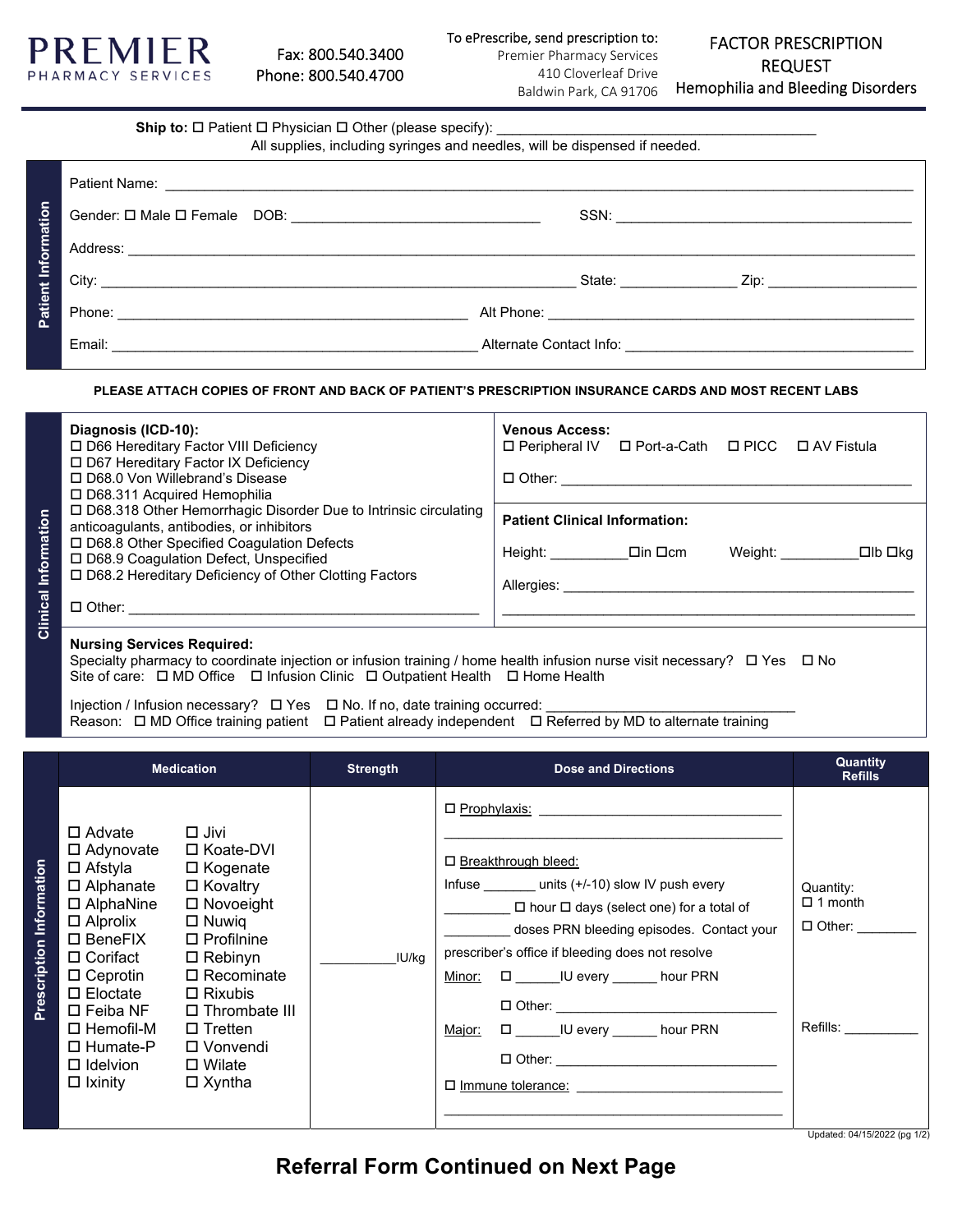

| <b>Ship to:</b> $\Box$ Patient $\Box$ Physician $\Box$ Other (please specify): |  |
|--------------------------------------------------------------------------------|--|
|--------------------------------------------------------------------------------|--|

All supplies, including syringes and needles, will be dispensed if needed.

|                     | $\int$ City: |                                                 | State: <u>Zip:</u> Zip: |
|---------------------|--------------|-------------------------------------------------|-------------------------|
| Patient Information |              |                                                 |                         |
|                     | Email:       | Alternate Contact Info: Alternate Contact Info: |                         |

## **PLEASE ATTACH COPIES OF FRONT AND BACK OF PATIENT'S PRESCRIPTION INSURANCE CARDS AND MOST RECENT LABS**

|             | Diagnosis (ICD-10):<br>□ D66 Hereditary Factor VIII Deficiency<br>□ D67 Hereditary Factor IX Deficiency<br>□ D68.0 Von Willebrand's Disease<br>□ D68.311 Acquired Hemophilia                             | <b>Venous Access:</b><br>□ Peripheral IV □ Port-a-Cath □ PICC □ AV Fistula<br>□ Other: _____________ |
|-------------|----------------------------------------------------------------------------------------------------------------------------------------------------------------------------------------------------------|------------------------------------------------------------------------------------------------------|
| Information | □ D68.318 Other Hemorrhagic Disorder Due to Intrinsic circulating<br>anticoagulants, antibodies, or inhibitors<br>□ D68.8 Other Specified Coagulation Defects<br>□ D68.9 Coagulation Defect, Unspecified | <b>Patient Clinical Information:</b><br>Weight: ________<br>□lb □kq                                  |
| Clinical    | □ D68.2 Hereditary Deficiency of Other Clotting Factors<br>□ Other: __________                                                                                                                           |                                                                                                      |
|             |                                                                                                                                                                                                          |                                                                                                      |

### **Nursing Services Required:**

Specialty pharmacy to coordinate injection or infusion training / home health infusion nurse visit necessary?  $\Box$  Yes  $\Box$  No Site of care:  $\Box$  MD Office  $\Box$  Infusion Clinic  $\Box$  Outpatient Health  $\Box$  Home Health

Injection / Infusion necessary? Yes No. If no, date training occurred: \_\_\_\_\_\_\_\_\_\_\_\_\_\_\_\_\_\_\_\_\_\_\_\_\_\_\_\_\_\_\_\_ Reason:  $\Box$  MD Office training patient  $\Box$  Patient already independent  $\Box$  Referred by MD to alternate training

|                             |                                                                                                                                                                                                                                                                                                           | <b>Medication</b>                                                                                                                                                                                                           | <b>Strength</b> | <b>Dose and Directions</b>                                                                                                                                                                                                                                                                                                                                     | <b>Quantity</b><br><b>Refills</b>                                                                  |
|-----------------------------|-----------------------------------------------------------------------------------------------------------------------------------------------------------------------------------------------------------------------------------------------------------------------------------------------------------|-----------------------------------------------------------------------------------------------------------------------------------------------------------------------------------------------------------------------------|-----------------|----------------------------------------------------------------------------------------------------------------------------------------------------------------------------------------------------------------------------------------------------------------------------------------------------------------------------------------------------------------|----------------------------------------------------------------------------------------------------|
| Information<br>Prescription | $\Box$ Advate $\Box$ Jivi<br>□ Adynovate<br>□ Afstyla □ Kogenate<br>□ Alphanate<br>□ AlphaNine<br>$\square$ Alprolix<br>□ BeneFIX<br>$\square$ Corifact<br>$\square$ Eloctate<br>$\square$ Feiba NF<br>$\square$ Hemofil-M<br>□ Humate-P<br>$\Box$ Idelvion $\Box$ Wilate<br>$\Box$ Ixinity $\Box$ Xyntha | □ Koate-DVI<br>□ Kovaltry<br>$\Box$ Novoeight<br>$\Box$ Nuwig<br>$\Box$ Profilnine<br>$\Box$ Rebinyn<br>$\Box$ Ceprotin $\Box$ Recominate<br>$\Box$ Rixubis<br>$\Box$ Thrombate III<br>$\Box$ Tretten<br>$\square$ Vonvendi | IU/ka           | $\Box$ Prophylaxis:<br>□ Breakthrough bleed:<br>Infuse $units (+/-10)$ slow IV push every<br>$\Box$ hour $\Box$ days (select one) for a total of<br>doses PRN bleeding episodes. Contact your<br>prescriber's office if bleeding does not resolve<br>Minor: $\Box$ IU every ______ hour PRN<br>□ U every ______ hour PRN<br>Major:<br>$\Box$ Immune tolerance: | Quantity:<br>$\Box$ 1 month<br>$\Box$ Other:<br>Refills: _________<br>Updated: 04/15/2022 (pg 1/2) |

**Referral Form Continued on Next Page**